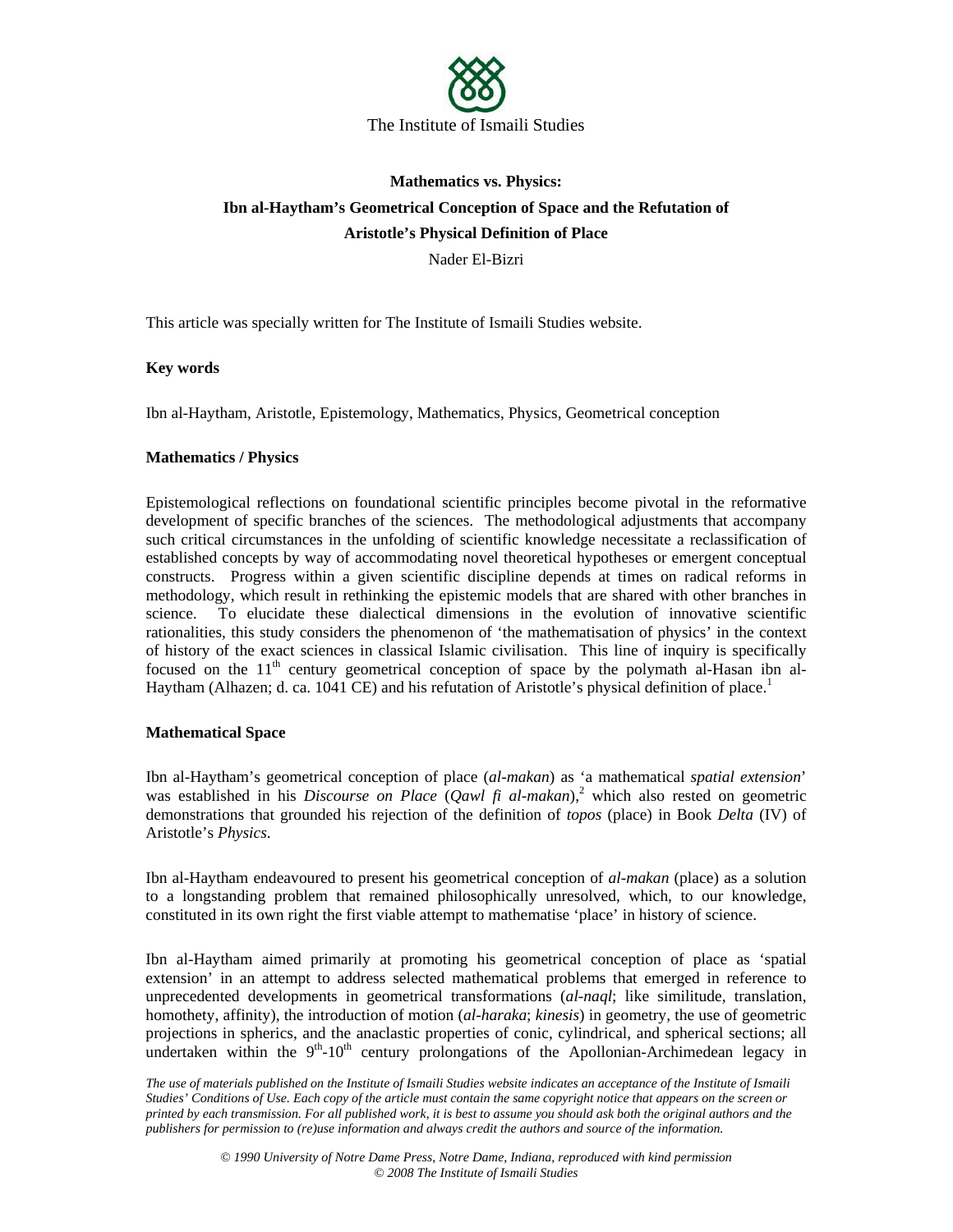

# **Mathematics vs. Physics: Ibn al-Haytham's Geometrical Conception of Space and the Refutation of Aristotle's Physical Definition of Place**

Nader El-Bizri

This article was specially written for The Institute of Ismaili Studies website.

# **Key words**

Ibn al-Haytham, Aristotle, Epistemology, Mathematics, Physics, Geometrical conception

# **Mathematics / Physics**

Epistemological reflections on foundational scientific principles become pivotal in the reformative development of specific branches of the sciences. The methodological adjustments that accompany such critical circumstances in the unfolding of scientific knowledge necessitate a reclassification of established concepts by way of accommodating novel theoretical hypotheses or emergent conceptual constructs. Progress within a given scientific discipline depends at times on radical reforms in methodology, which result in rethinking the epistemic models that are shared with other branches in science. To elucidate these dialectical dimensions in the evolution of innovative scientific rationalities, this study considers the phenomenon of 'the mathematisation of physics' in the context of history of the exact sciences in classical Islamic civilisation. This line of inquiry is specifically focused on the 11<sup>th</sup> century geometrical conception of space by the polymath al-Hasan ibn al-Haytham (Alhazen; d. ca. 1041 CE) and his refutation of Aristotle's physical definition of place.<sup>1</sup>

## **Mathematical Space**

Ibn al-Haytham's geometrical conception of place (*al-makan*) as 'a mathematical *spatial extension*' was established in his *Discourse on Place* (*Qawl fi al-makan*),<sup>2</sup> which also rested on geometric demonstrations that grounded his rejection of the definition of *topos* (place) in Book *Delta* (IV) of Aristotle's *Physics*.

Ibn al-Haytham endeavoured to present his geometrical conception of *al-makan* (place) as a solution to a longstanding problem that remained philosophically unresolved, which, to our knowledge, constituted in its own right the first viable attempt to mathematise 'place' in history of science.

Ibn al-Haytham aimed primarily at promoting his geometrical conception of place as 'spatial extension' in an attempt to address selected mathematical problems that emerged in reference to unprecedented developments in geometrical transformations (*al-naql*; like similitude, translation, homothety, affinity), the introduction of motion (*al-haraka*; *kinesis*) in geometry, the use of geometric projections in spherics, and the anaclastic properties of conic, cylindrical, and spherical sections; all undertaken within the  $9<sup>th</sup>-10<sup>th</sup>$  century prolongations of the Apollonian-Archimedean legacy in

*The use of materials published on the Institute of Ismaili Studies website indicates an acceptance of the Institute of Ismaili Studies' Conditions of Use. Each copy of the article must contain the same copyright notice that appears on the screen or printed by each transmission. For all published work, it is best to assume you should ask both the original authors and the publishers for permission to (re)use information and always credit the authors and source of the information.*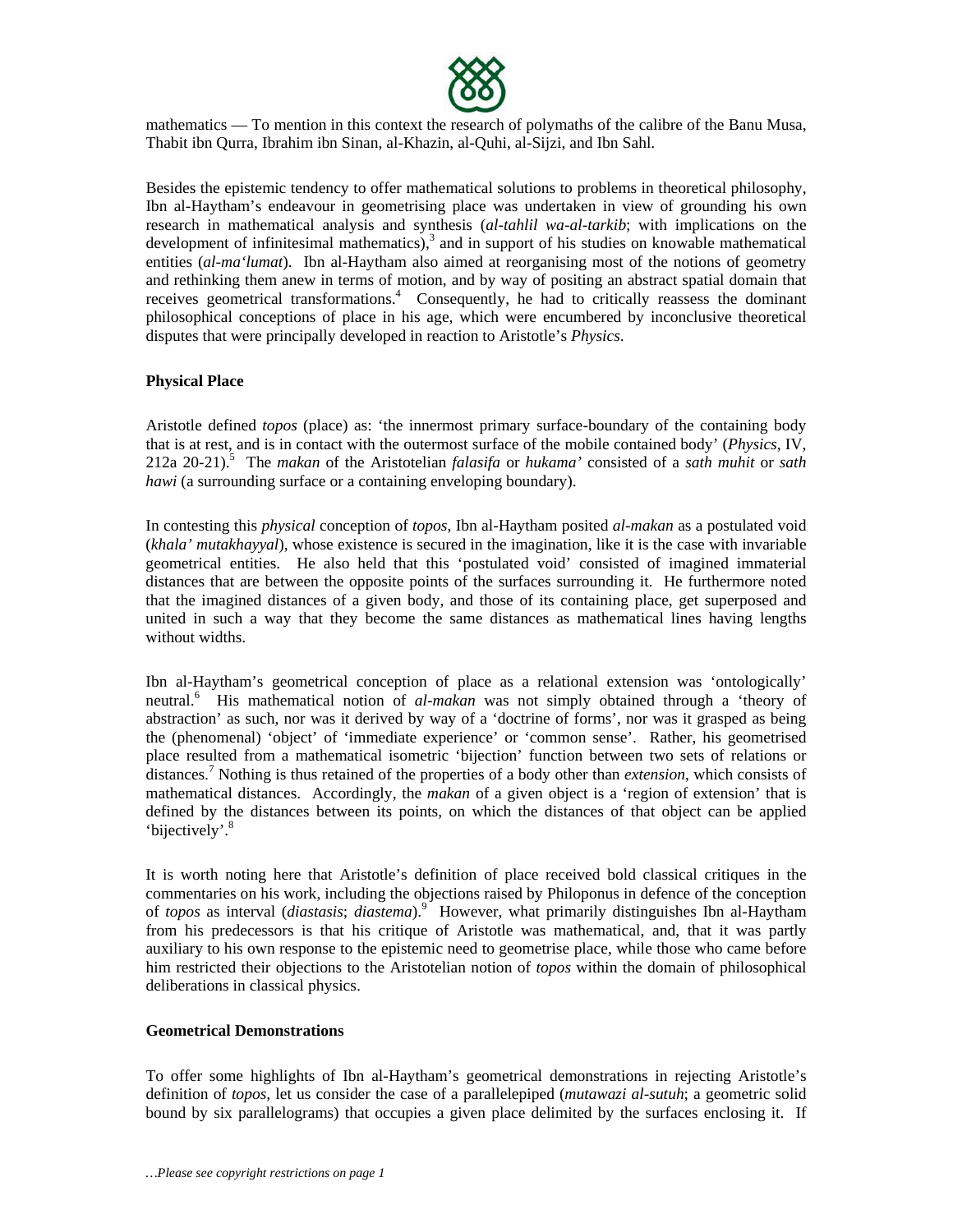

mathematics — To mention in this context the research of polymaths of the calibre of the Banu Musa, Thabit ibn Qurra, Ibrahim ibn Sinan, al-Khazin, al-Quhi, al-Sijzi, and Ibn Sahl.

Besides the epistemic tendency to offer mathematical solutions to problems in theoretical philosophy, Ibn al-Haytham's endeavour in geometrising place was undertaken in view of grounding his own research in mathematical analysis and synthesis (*al-tahlil wa-al-tarkib*; with implications on the development of infinitesimal mathematics), $3$  and in support of his studies on knowable mathematical entities (*al-ma'lumat*). Ibn al-Haytham also aimed at reorganising most of the notions of geometry and rethinking them anew in terms of motion, and by way of positing an abstract spatial domain that receives geometrical transformations.<sup>4</sup> Consequently, he had to critically reassess the dominant philosophical conceptions of place in his age, which were encumbered by inconclusive theoretical disputes that were principally developed in reaction to Aristotle's *Physics*.

#### **Physical Place**

Aristotle defined *topos* (place) as: 'the innermost primary surface-boundary of the containing body that is at rest, and is in contact with the outermost surface of the mobile contained body' (*Physics*, IV, 212a 20-21).<sup>5</sup> The *makan* of the Aristotelian *falasifa* or *hukama'* consisted of a *sath muhit* or *sath hawi* (a surrounding surface or a containing enveloping boundary).

In contesting this *physical* conception of *topos*, Ibn al-Haytham posited *al-makan* as a postulated void (*khala' mutakhayyal*), whose existence is secured in the imagination, like it is the case with invariable geometrical entities. He also held that this 'postulated void' consisted of imagined immaterial distances that are between the opposite points of the surfaces surrounding it. He furthermore noted that the imagined distances of a given body, and those of its containing place, get superposed and united in such a way that they become the same distances as mathematical lines having lengths without widths.

Ibn al-Haytham's geometrical conception of place as a relational extension was 'ontologically' neutral.<sup>6</sup> His mathematical notion of *al-makan* was not simply obtained through a 'theory of abstraction' as such, nor was it derived by way of a 'doctrine of forms', nor was it grasped as being the (phenomenal) 'object' of 'immediate experience' or 'common sense'. Rather, his geometrised place resulted from a mathematical isometric 'bijection' function between two sets of relations or distances.<sup>7</sup> Nothing is thus retained of the properties of a body other than *extension*, which consists of mathematical distances. Accordingly, the *makan* of a given object is a 'region of extension' that is defined by the distances between its points, on which the distances of that object can be applied 'bijectively'.<sup>8</sup>

It is worth noting here that Aristotle's definition of place received bold classical critiques in the commentaries on his work, including the objections raised by Philoponus in defence of the conception of *topos* as interval (*diastasis*; *diastema*).<sup>9</sup> However, what primarily distinguishes Ibn al-Haytham from his predecessors is that his critique of Aristotle was mathematical, and, that it was partly auxiliary to his own response to the epistemic need to geometrise place, while those who came before him restricted their objections to the Aristotelian notion of *topos* within the domain of philosophical deliberations in classical physics.

#### **Geometrical Demonstrations**

To offer some highlights of Ibn al-Haytham's geometrical demonstrations in rejecting Aristotle's definition of *topos*, let us consider the case of a parallelepiped (*mutawazi al-sutuh*; a geometric solid bound by six parallelograms) that occupies a given place delimited by the surfaces enclosing it. If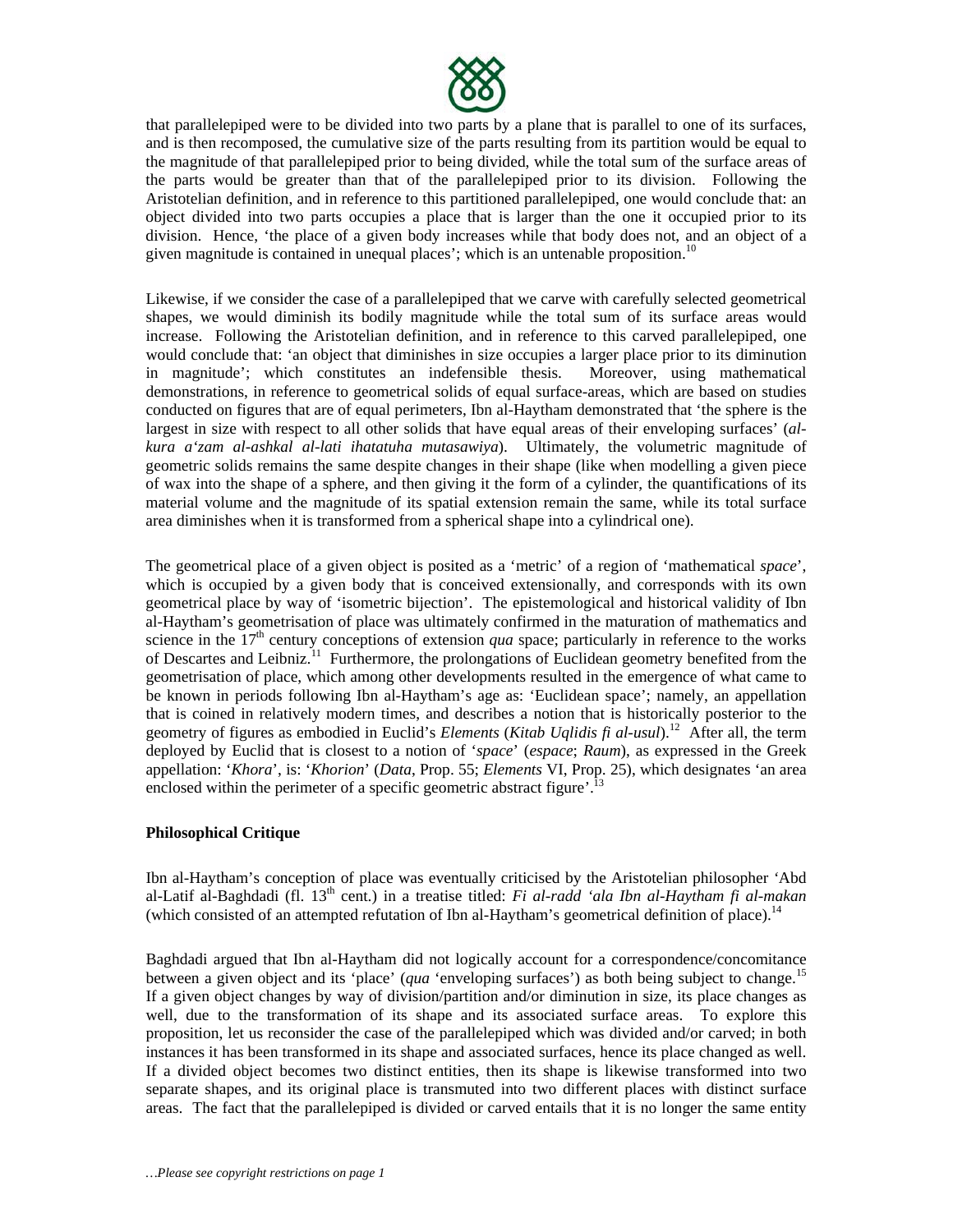

that parallelepiped were to be divided into two parts by a plane that is parallel to one of its surfaces, and is then recomposed, the cumulative size of the parts resulting from its partition would be equal to the magnitude of that parallelepiped prior to being divided, while the total sum of the surface areas of the parts would be greater than that of the parallelepiped prior to its division. Following the Aristotelian definition, and in reference to this partitioned parallelepiped, one would conclude that: an object divided into two parts occupies a place that is larger than the one it occupied prior to its division. Hence, 'the place of a given body increases while that body does not, and an object of a given magnitude is contained in unequal places'; which is an untenable proposition.<sup>10</sup>

Likewise, if we consider the case of a parallelepiped that we carve with carefully selected geometrical shapes, we would diminish its bodily magnitude while the total sum of its surface areas would increase. Following the Aristotelian definition, and in reference to this carved parallelepiped, one would conclude that: 'an object that diminishes in size occupies a larger place prior to its diminution in magnitude'; which constitutes an indefensible thesis. Moreover, using mathematical demonstrations, in reference to geometrical solids of equal surface-areas, which are based on studies conducted on figures that are of equal perimeters, Ibn al-Haytham demonstrated that 'the sphere is the largest in size with respect to all other solids that have equal areas of their enveloping surfaces' (*alkura a'zam al-ashkal al-lati ihatatuha mutasawiya*). Ultimately, the volumetric magnitude of geometric solids remains the same despite changes in their shape (like when modelling a given piece of wax into the shape of a sphere, and then giving it the form of a cylinder, the quantifications of its material volume and the magnitude of its spatial extension remain the same, while its total surface area diminishes when it is transformed from a spherical shape into a cylindrical one).

The geometrical place of a given object is posited as a 'metric' of a region of 'mathematical *space*', which is occupied by a given body that is conceived extensionally, and corresponds with its own geometrical place by way of 'isometric bijection'. The epistemological and historical validity of Ibn al-Haytham's geometrisation of place was ultimately confirmed in the maturation of mathematics and science in the  $17<sup>th</sup>$  century conceptions of extension *qua* space; particularly in reference to the works of Descartes and Leibniz.<sup>11</sup> Furthermore, the prolongations of Euclidean geometry benefited from the geometrisation of place, which among other developments resulted in the emergence of what came to be known in periods following Ibn al-Haytham's age as: 'Euclidean space'; namely, an appellation that is coined in relatively modern times, and describes a notion that is historically posterior to the geometry of figures as embodied in Euclid's *Elements* (*Kitab Uqlidis fi al-usul*).12 After all, the term deployed by Euclid that is closest to a notion of '*space*' (*espace*; *Raum*), as expressed in the Greek appellation: '*Khora*', is: '*Khorion*' (*Data*, Prop. 55; *Elements* VI, Prop. 25), which designates 'an area enclosed within the perimeter of a specific geometric abstract figure'.<sup>13</sup>

## **Philosophical Critique**

Ibn al-Haytham's conception of place was eventually criticised by the Aristotelian philosopher *'*Abd al-Latif al-Baghdadi (fl. 13th cent.) in a treatise titled: *Fi al-radd 'ala Ibn al-Haytham fi al-makan* (which consisted of an attempted refutation of Ibn al-Haytham's geometrical definition of place).<sup>14</sup>

Baghdadi argued that Ibn al-Haytham did not logically account for a correspondence/concomitance between a given object and its 'place' (*qua* 'enveloping surfaces') as both being subject to change.<sup>15</sup> If a given object changes by way of division/partition and/or diminution in size, its place changes as well, due to the transformation of its shape and its associated surface areas. To explore this proposition, let us reconsider the case of the parallelepiped which was divided and/or carved; in both instances it has been transformed in its shape and associated surfaces, hence its place changed as well. If a divided object becomes two distinct entities, then its shape is likewise transformed into two separate shapes, and its original place is transmuted into two different places with distinct surface areas. The fact that the parallelepiped is divided or carved entails that it is no longer the same entity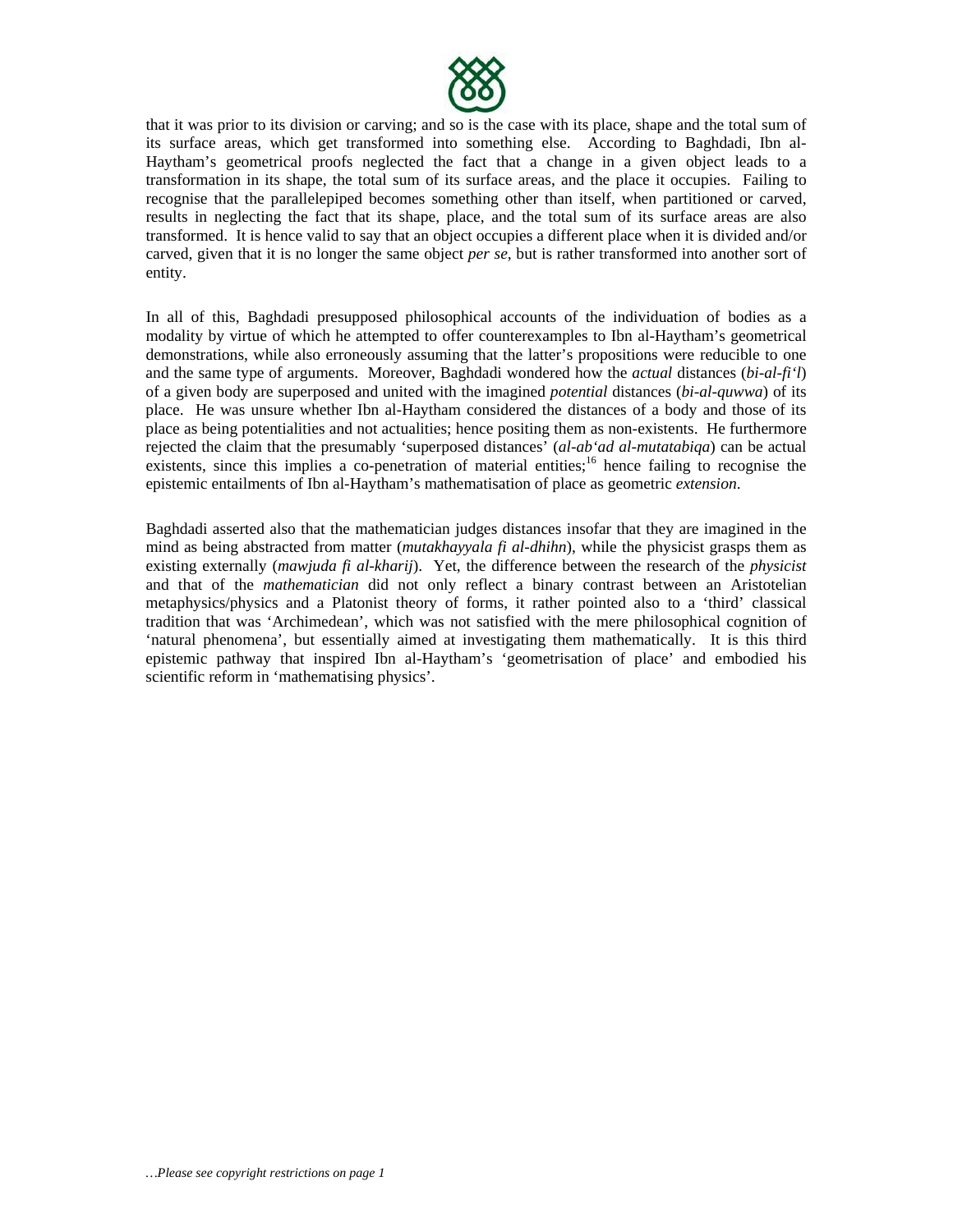

that it was prior to its division or carving; and so is the case with its place, shape and the total sum of its surface areas, which get transformed into something else. According to Baghdadi, Ibn al-Haytham's geometrical proofs neglected the fact that a change in a given object leads to a transformation in its shape, the total sum of its surface areas, and the place it occupies. Failing to recognise that the parallelepiped becomes something other than itself, when partitioned or carved, results in neglecting the fact that its shape, place, and the total sum of its surface areas are also transformed. It is hence valid to say that an object occupies a different place when it is divided and/or carved, given that it is no longer the same object *per se*, but is rather transformed into another sort of entity.

In all of this, Baghdadi presupposed philosophical accounts of the individuation of bodies as a modality by virtue of which he attempted to offer counterexamples to Ibn al-Haytham's geometrical demonstrations, while also erroneously assuming that the latter's propositions were reducible to one and the same type of arguments. Moreover, Baghdadi wondered how the *actual* distances (*bi-al-fi'l*) of a given body are superposed and united with the imagined *potential* distances (*bi-al-quwwa*) of its place. He was unsure whether Ibn al-Haytham considered the distances of a body and those of its place as being potentialities and not actualities; hence positing them as non-existents. He furthermore rejected the claim that the presumably 'superposed distances' (*al-ab'ad al-mutatabiqa*) can be actual existents, since this implies a co-penetration of material entities;<sup>16</sup> hence failing to recognise the epistemic entailments of Ibn al-Haytham's mathematisation of place as geometric *extension*.

Baghdadi asserted also that the mathematician judges distances insofar that they are imagined in the mind as being abstracted from matter (*mutakhayyala fi al-dhihn*), while the physicist grasps them as existing externally (*mawjuda fi al-kharij*). Yet, the difference between the research of the *physicist* and that of the *mathematician* did not only reflect a binary contrast between an Aristotelian metaphysics/physics and a Platonist theory of forms, it rather pointed also to a 'third' classical tradition that was 'Archimedean', which was not satisfied with the mere philosophical cognition of 'natural phenomena', but essentially aimed at investigating them mathematically. It is this third epistemic pathway that inspired Ibn al-Haytham's 'geometrisation of place' and embodied his scientific reform in 'mathematising physics'.